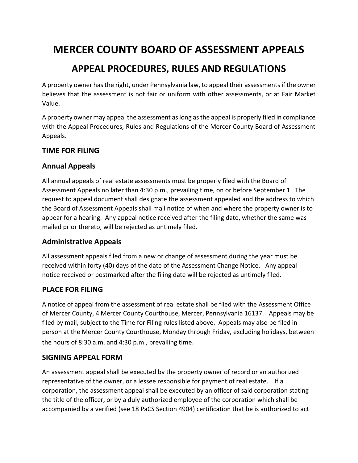# **MERCER COUNTY BOARD OF ASSESSMENT APPEALS**

## **APPEAL PROCEDURES, RULES AND REGULATIONS**

A property owner has the right, under Pennsylvania law, to appeal their assessments if the owner believes that the assessment is not fair or uniform with other assessments, or at Fair Market Value.

A property owner may appeal the assessment as long as the appeal is properly filed in compliance with the Appeal Procedures, Rules and Regulations of the Mercer County Board of Assessment Appeals.

### **TIME FOR FILING**

### **Annual Appeals**

All annual appeals of real estate assessments must be properly filed with the Board of Assessment Appeals no later than 4:30 p.m., prevailing time, on or before September 1. The request to appeal document shall designate the assessment appealed and the address to which the Board of Assessment Appeals shall mail notice of when and where the property owner is to appear for a hearing. Any appeal notice received after the filing date, whether the same was mailed prior thereto, will be rejected as untimely filed.

### **Administrative Appeals**

All assessment appeals filed from a new or change of assessment during the year must be received within forty (40) days of the date of the Assessment Change Notice. Any appeal notice received or postmarked after the filing date will be rejected as untimely filed.

### **PLACE FOR FILING**

A notice of appeal from the assessment of real estate shall be filed with the Assessment Office of Mercer County, 4 Mercer County Courthouse, Mercer, Pennsylvania 16137. Appeals may be filed by mail, subject to the Time for Filing rules listed above. Appeals may also be filed in person at the Mercer County Courthouse, Monday through Friday, excluding holidays, between the hours of 8:30 a.m. and 4:30 p.m., prevailing time.

#### **SIGNING APPEAL FORM**

An assessment appeal shall be executed by the property owner of record or an authorized representative of the owner, or a lessee responsible for payment of real estate. If a corporation, the assessment appeal shall be executed by an officer of said corporation stating the title of the officer, or by a duly authorized employee of the corporation which shall be accompanied by a verified (see 18 PaCS Section 4904) certification that he is authorized to act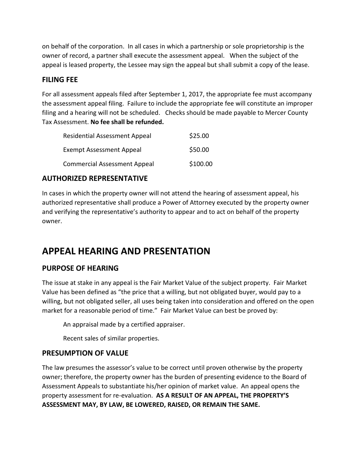on behalf of the corporation. In all cases in which a partnership or sole proprietorship is the owner of record, a partner shall execute the assessment appeal. When the subject of the appeal is leased property, the Lessee may sign the appeal but shall submit a copy of the lease.

### **FILING FEE**

For all assessment appeals filed after September 1, 2017, the appropriate fee must accompany the assessment appeal filing. Failure to include the appropriate fee will constitute an improper filing and a hearing will not be scheduled. Checks should be made payable to Mercer County Tax Assessment. **No fee shall be refunded.** 

| <b>Residential Assessment Appeal</b> | \$25.00  |
|--------------------------------------|----------|
| <b>Exempt Assessment Appeal</b>      | \$50.00  |
| <b>Commercial Assessment Appeal</b>  | \$100.00 |

### **AUTHORIZED REPRESENTATIVE**

In cases in which the property owner will not attend the hearing of assessment appeal, his authorized representative shall produce a Power of Attorney executed by the property owner and verifying the representative's authority to appear and to act on behalf of the property owner.

## **APPEAL HEARING AND PRESENTATION**

### **PURPOSE OF HEARING**

The issue at stake in any appeal is the Fair Market Value of the subject property. Fair Market Value has been defined as "the price that a willing, but not obligated buyer, would pay to a willing, but not obligated seller, all uses being taken into consideration and offered on the open market for a reasonable period of time." Fair Market Value can best be proved by:

An appraisal made by a certified appraiser.

Recent sales of similar properties.

### **PRESUMPTION OF VALUE**

The law presumes the assessor's value to be correct until proven otherwise by the property owner; therefore, the property owner has the burden of presenting evidence to the Board of Assessment Appeals to substantiate his/her opinion of market value. An appeal opens the property assessment for re-evaluation. **AS A RESULT OF AN APPEAL, THE PROPERTY'S ASSESSMENT MAY, BY LAW, BE LOWERED, RAISED, OR REMAIN THE SAME.**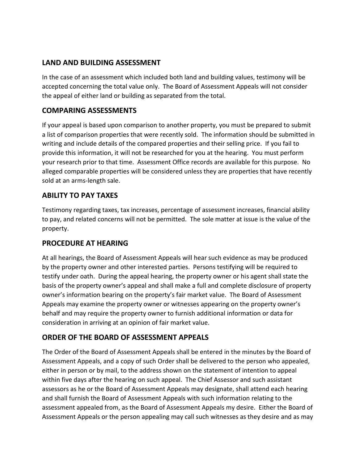### **LAND AND BUILDING ASSESSMENT**

In the case of an assessment which included both land and building values, testimony will be accepted concerning the total value only. The Board of Assessment Appeals will not consider the appeal of either land or building as separated from the total.

#### **COMPARING ASSESSMENTS**

If your appeal is based upon comparison to another property, you must be prepared to submit a list of comparison properties that were recently sold. The information should be submitted in writing and include details of the compared properties and their selling price. If you fail to provide this information, it will not be researched for you at the hearing. You must perform your research prior to that time. Assessment Office records are available for this purpose. No alleged comparable properties will be considered unless they are properties that have recently sold at an arms-length sale.

### **ABILITY TO PAY TAXES**

Testimony regarding taxes, tax increases, percentage of assessment increases, financial ability to pay, and related concerns will not be permitted. The sole matter at issue is the value of the property.

### **PROCEDURE AT HEARING**

At all hearings, the Board of Assessment Appeals will hear such evidence as may be produced by the property owner and other interested parties. Persons testifying will be required to testify under oath. During the appeal hearing, the property owner or his agent shall state the basis of the property owner's appeal and shall make a full and complete disclosure of property owner's information bearing on the property's fair market value. The Board of Assessment Appeals may examine the property owner or witnesses appearing on the property owner's behalf and may require the property owner to furnish additional information or data for consideration in arriving at an opinion of fair market value.

#### **ORDER OF THE BOARD OF ASSESSMENT APPEALS**

The Order of the Board of Assessment Appeals shall be entered in the minutes by the Board of Assessment Appeals, and a copy of such Order shall be delivered to the person who appealed, either in person or by mail, to the address shown on the statement of intention to appeal within five days after the hearing on such appeal. The Chief Assessor and such assistant assessors as he or the Board of Assessment Appeals may designate, shall attend each hearing and shall furnish the Board of Assessment Appeals with such information relating to the assessment appealed from, as the Board of Assessment Appeals my desire. Either the Board of Assessment Appeals or the person appealing may call such witnesses as they desire and as may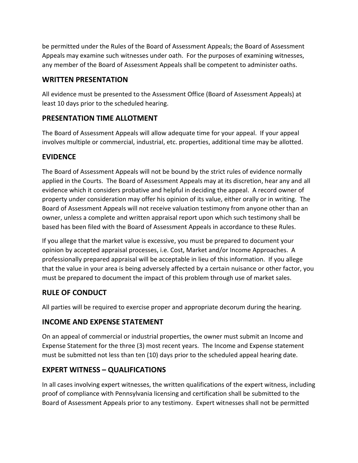be permitted under the Rules of the Board of Assessment Appeals; the Board of Assessment Appeals may examine such witnesses under oath. For the purposes of examining witnesses, any member of the Board of Assessment Appeals shall be competent to administer oaths.

### **WRITTEN PRESENTATION**

All evidence must be presented to the Assessment Office (Board of Assessment Appeals) at least 10 days prior to the scheduled hearing.

### **PRESENTATION TIME ALLOTMENT**

The Board of Assessment Appeals will allow adequate time for your appeal. If your appeal involves multiple or commercial, industrial, etc. properties, additional time may be allotted.

### **EVIDENCE**

The Board of Assessment Appeals will not be bound by the strict rules of evidence normally applied in the Courts. The Board of Assessment Appeals may at its discretion, hear any and all evidence which it considers probative and helpful in deciding the appeal. A record owner of property under consideration may offer his opinion of its value, either orally or in writing. The Board of Assessment Appeals will not receive valuation testimony from anyone other than an owner, unless a complete and written appraisal report upon which such testimony shall be based has been filed with the Board of Assessment Appeals in accordance to these Rules.

If you allege that the market value is excessive, you must be prepared to document your opinion by accepted appraisal processes, i.e. Cost, Market and/or Income Approaches. A professionally prepared appraisal will be acceptable in lieu of this information. If you allege that the value in your area is being adversely affected by a certain nuisance or other factor, you must be prepared to document the impact of this problem through use of market sales.

## **RULE OF CONDUCT**

All parties will be required to exercise proper and appropriate decorum during the hearing.

### **INCOME AND EXPENSE STATEMENT**

On an appeal of commercial or industrial properties, the owner must submit an Income and Expense Statement for the three (3) most recent years. The Income and Expense statement must be submitted not less than ten (10) days prior to the scheduled appeal hearing date.

### **EXPERT WITNESS – QUALIFICATIONS**

In all cases involving expert witnesses, the written qualifications of the expert witness, including proof of compliance with Pennsylvania licensing and certification shall be submitted to the Board of Assessment Appeals prior to any testimony. Expert witnesses shall not be permitted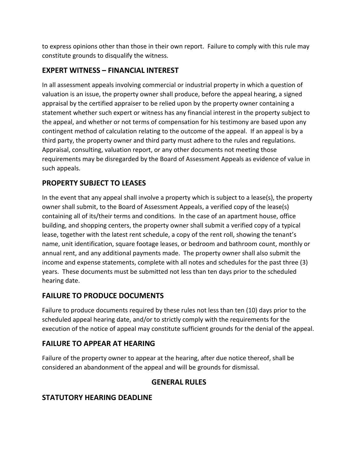to express opinions other than those in their own report. Failure to comply with this rule may constitute grounds to disqualify the witness.

### **EXPERT WITNESS – FINANCIAL INTEREST**

In all assessment appeals involving commercial or industrial property in which a question of valuation is an issue, the property owner shall produce, before the appeal hearing, a signed appraisal by the certified appraiser to be relied upon by the property owner containing a statement whether such expert or witness has any financial interest in the property subject to the appeal, and whether or not terms of compensation for his testimony are based upon any contingent method of calculation relating to the outcome of the appeal. If an appeal is by a third party, the property owner and third party must adhere to the rules and regulations. Appraisal, consulting, valuation report, or any other documents not meeting those requirements may be disregarded by the Board of Assessment Appeals as evidence of value in such appeals.

### **PROPERTY SUBJECT TO LEASES**

In the event that any appeal shall involve a property which is subject to a lease(s), the property owner shall submit, to the Board of Assessment Appeals, a verified copy of the lease(s) containing all of its/their terms and conditions. In the case of an apartment house, office building, and shopping centers, the property owner shall submit a verified copy of a typical lease, together with the latest rent schedule, a copy of the rent roll, showing the tenant's name, unit identification, square footage leases, or bedroom and bathroom count, monthly or annual rent, and any additional payments made. The property owner shall also submit the income and expense statements, complete with all notes and schedules for the past three (3) years. These documents must be submitted not less than ten days prior to the scheduled hearing date.

### **FAILURE TO PRODUCE DOCUMENTS**

Failure to produce documents required by these rules not less than ten (10) days prior to the scheduled appeal hearing date, and/or to strictly comply with the requirements for the execution of the notice of appeal may constitute sufficient grounds for the denial of the appeal.

### **FAILURE TO APPEAR AT HEARING**

Failure of the property owner to appear at the hearing, after due notice thereof, shall be considered an abandonment of the appeal and will be grounds for dismissal.

### **GENERAL RULES**

### **STATUTORY HEARING DEADLINE**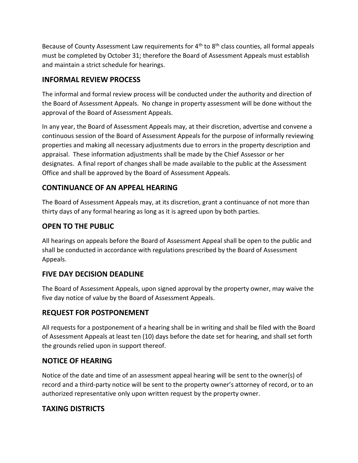Because of County Assessment Law requirements for  $4<sup>th</sup>$  to  $8<sup>th</sup>$  class counties, all formal appeals must be completed by October 31; therefore the Board of Assessment Appeals must establish and maintain a strict schedule for hearings.

### **INFORMAL REVIEW PROCESS**

The informal and formal review process will be conducted under the authority and direction of the Board of Assessment Appeals. No change in property assessment will be done without the approval of the Board of Assessment Appeals.

In any year, the Board of Assessment Appeals may, at their discretion, advertise and convene a continuous session of the Board of Assessment Appeals for the purpose of informally reviewing properties and making all necessary adjustments due to errors in the property description and appraisal. These information adjustments shall be made by the Chief Assessor or her designates. A final report of changes shall be made available to the public at the Assessment Office and shall be approved by the Board of Assessment Appeals.

### **CONTINUANCE OF AN APPEAL HEARING**

The Board of Assessment Appeals may, at its discretion, grant a continuance of not more than thirty days of any formal hearing as long as it is agreed upon by both parties.

### **OPEN TO THE PUBLIC**

All hearings on appeals before the Board of Assessment Appeal shall be open to the public and shall be conducted in accordance with regulations prescribed by the Board of Assessment Appeals.

### **FIVE DAY DECISION DEADLINE**

The Board of Assessment Appeals, upon signed approval by the property owner, may waive the five day notice of value by the Board of Assessment Appeals.

### **REQUEST FOR POSTPONEMENT**

All requests for a postponement of a hearing shall be in writing and shall be filed with the Board of Assessment Appeals at least ten (10) days before the date set for hearing, and shall set forth the grounds relied upon in support thereof.

### **NOTICE OF HEARING**

Notice of the date and time of an assessment appeal hearing will be sent to the owner(s) of record and a third-party notice will be sent to the property owner's attorney of record, or to an authorized representative only upon written request by the property owner.

### **TAXING DISTRICTS**